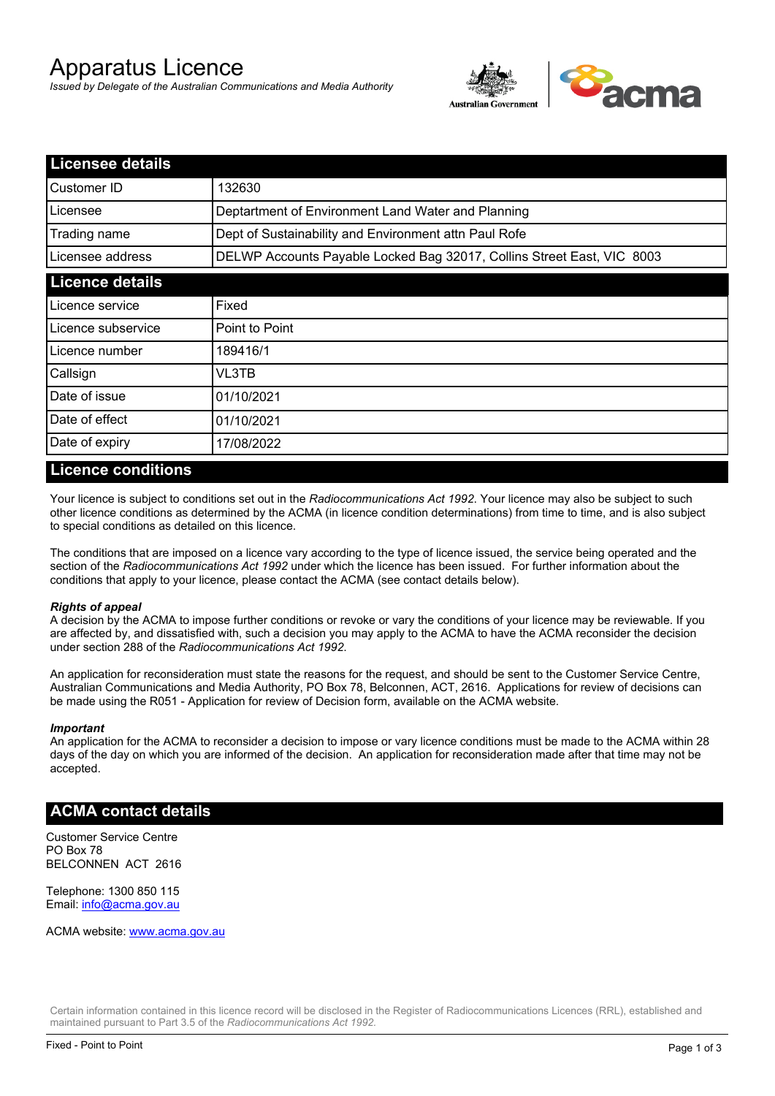# Apparatus Licence

*Issued by Delegate of the Australian Communications and Media Authority*



| <b>Licensee details</b> |                                                                        |  |
|-------------------------|------------------------------------------------------------------------|--|
| Customer ID             | 132630                                                                 |  |
| Licensee                | Deptartment of Environment Land Water and Planning                     |  |
| Trading name            | Dept of Sustainability and Environment attn Paul Rofe                  |  |
| Licensee address        | DELWP Accounts Payable Locked Bag 32017, Collins Street East, VIC 8003 |  |
| <b>Licence details</b>  |                                                                        |  |
| Licence service         | Fixed                                                                  |  |
| Licence subservice      | Point to Point                                                         |  |
| Licence number          | 189416/1                                                               |  |
| Callsign                | VL3TB                                                                  |  |
| Date of issue           | 01/10/2021                                                             |  |
| Date of effect          | 01/10/2021                                                             |  |
| Date of expiry          | 17/08/2022                                                             |  |

### **Licence conditions**

Your licence is subject to conditions set out in the *Radiocommunications Act 1992*. Your licence may also be subject to such other licence conditions as determined by the ACMA (in licence condition determinations) from time to time, and is also subject to special conditions as detailed on this licence.

The conditions that are imposed on a licence vary according to the type of licence issued, the service being operated and the section of the *Radiocommunications Act 1992* under which the licence has been issued. For further information about the conditions that apply to your licence, please contact the ACMA (see contact details below).

#### *Rights of appeal*

A decision by the ACMA to impose further conditions or revoke or vary the conditions of your licence may be reviewable. If you are affected by, and dissatisfied with, such a decision you may apply to the ACMA to have the ACMA reconsider the decision under section 288 of the *Radiocommunications Act 1992*.

An application for reconsideration must state the reasons for the request, and should be sent to the Customer Service Centre, Australian Communications and Media Authority, PO Box 78, Belconnen, ACT, 2616. Applications for review of decisions can be made using the R051 - Application for review of Decision form, available on the ACMA website.

#### *Important*

An application for the ACMA to reconsider a decision to impose or vary licence conditions must be made to the ACMA within 28 days of the day on which you are informed of the decision. An application for reconsideration made after that time may not be accepted.

#### **ACMA contact details**

Customer Service Centre PO Box 78 BELCONNEN ACT 2616

Telephone: 1300 850 115 Email: info@acma.gov.au

ACMA website: www.acma.gov.au

Certain information contained in this licence record will be disclosed in the Register of Radiocommunications Licences (RRL), established and maintained pursuant to Part 3.5 of the *Radiocommunications Act 1992.*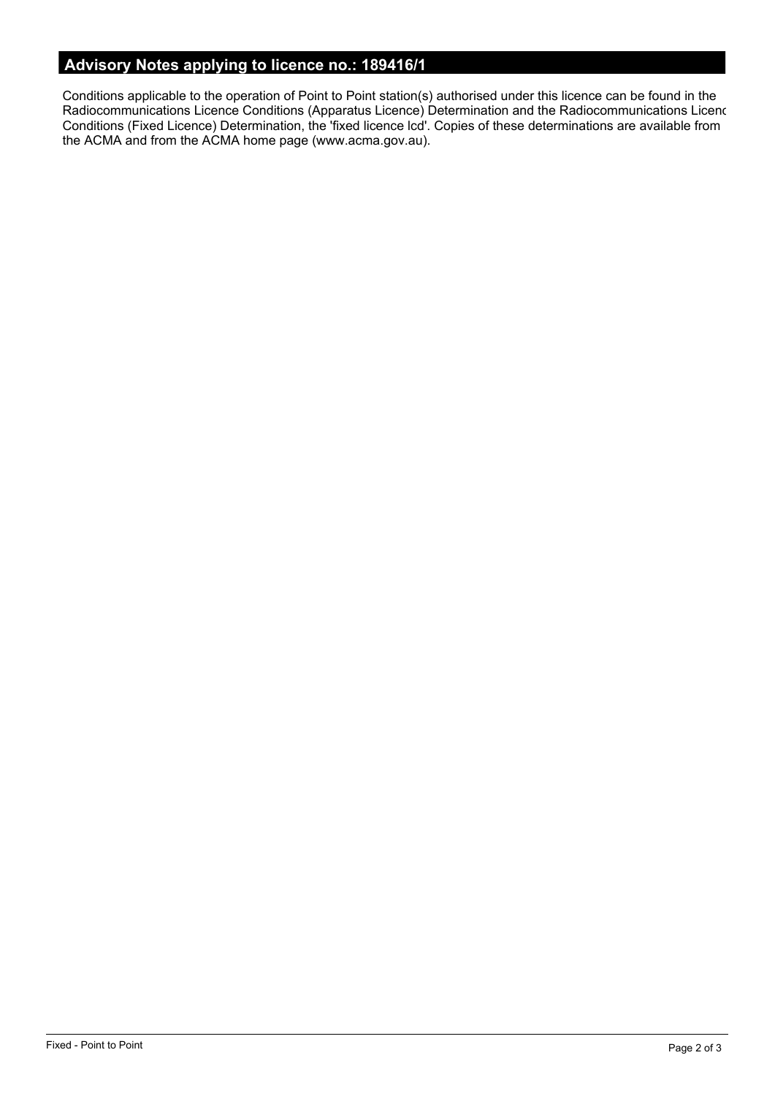# **Advisory Notes applying to licence no.: 189416/1**

Conditions applicable to the operation of Point to Point station(s) authorised under this licence can be found in the Radiocommunications Licence Conditions (Apparatus Licence) Determination and the Radiocommunications Licence Conditions (Fixed Licence) Determination, the 'fixed licence lcd'. Copies of these determinations are available from the ACMA and from the ACMA home page (www.acma.gov.au).